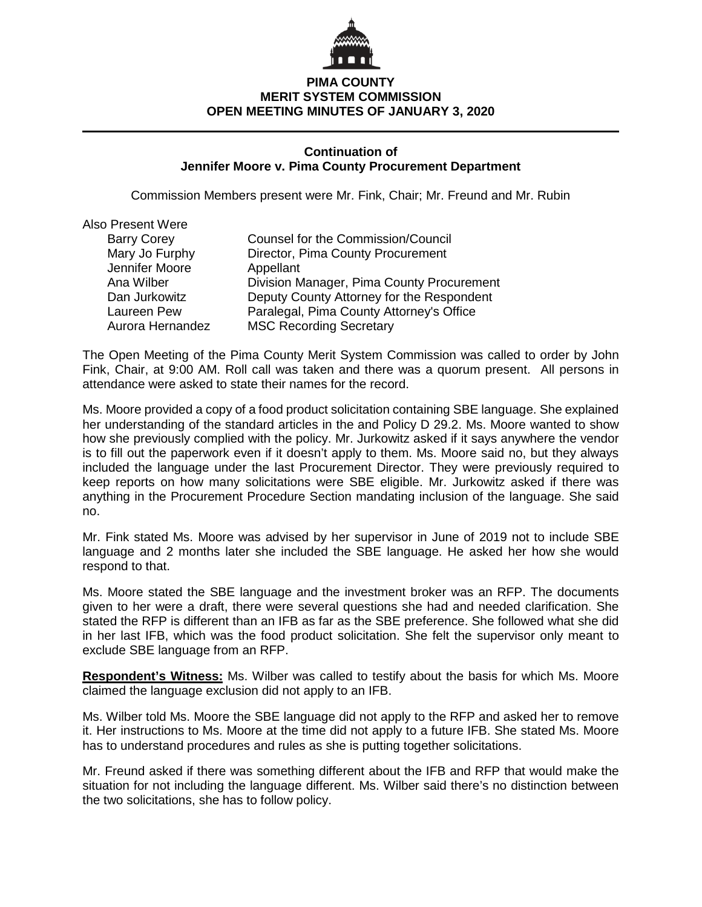

## **PIMA COUNTY MERIT SYSTEM COMMISSION OPEN MEETING MINUTES OF JANUARY 3, 2020**

### **Continuation of Jennifer Moore v. Pima County Procurement Department**

Commission Members present were Mr. Fink, Chair; Mr. Freund and Mr. Rubin

| <b>Also Present Were</b> |                                           |
|--------------------------|-------------------------------------------|
| <b>Barry Corey</b>       | Counsel for the Commission/Council        |
| Mary Jo Furphy           | Director, Pima County Procurement         |
| Jennifer Moore           | Appellant                                 |
| Ana Wilber               | Division Manager, Pima County Procurement |
| Dan Jurkowitz            | Deputy County Attorney for the Respondent |
| Laureen Pew              | Paralegal, Pima County Attorney's Office  |
| Aurora Hernandez         | <b>MSC Recording Secretary</b>            |

The Open Meeting of the Pima County Merit System Commission was called to order by John Fink, Chair, at 9:00 AM. Roll call was taken and there was a quorum present. All persons in attendance were asked to state their names for the record.

Ms. Moore provided a copy of a food product solicitation containing SBE language. She explained her understanding of the standard articles in the and Policy D 29.2. Ms. Moore wanted to show how she previously complied with the policy. Mr. Jurkowitz asked if it says anywhere the vendor is to fill out the paperwork even if it doesn't apply to them. Ms. Moore said no, but they always included the language under the last Procurement Director. They were previously required to keep reports on how many solicitations were SBE eligible. Mr. Jurkowitz asked if there was anything in the Procurement Procedure Section mandating inclusion of the language. She said no.

Mr. Fink stated Ms. Moore was advised by her supervisor in June of 2019 not to include SBE language and 2 months later she included the SBE language. He asked her how she would respond to that.

Ms. Moore stated the SBE language and the investment broker was an RFP. The documents given to her were a draft, there were several questions she had and needed clarification. She stated the RFP is different than an IFB as far as the SBE preference. She followed what she did in her last IFB, which was the food product solicitation. She felt the supervisor only meant to exclude SBE language from an RFP.

**Respondent's Witness:** Ms. Wilber was called to testify about the basis for which Ms. Moore claimed the language exclusion did not apply to an IFB.

Ms. Wilber told Ms. Moore the SBE language did not apply to the RFP and asked her to remove it. Her instructions to Ms. Moore at the time did not apply to a future IFB. She stated Ms. Moore has to understand procedures and rules as she is putting together solicitations.

Mr. Freund asked if there was something different about the IFB and RFP that would make the situation for not including the language different. Ms. Wilber said there's no distinction between the two solicitations, she has to follow policy.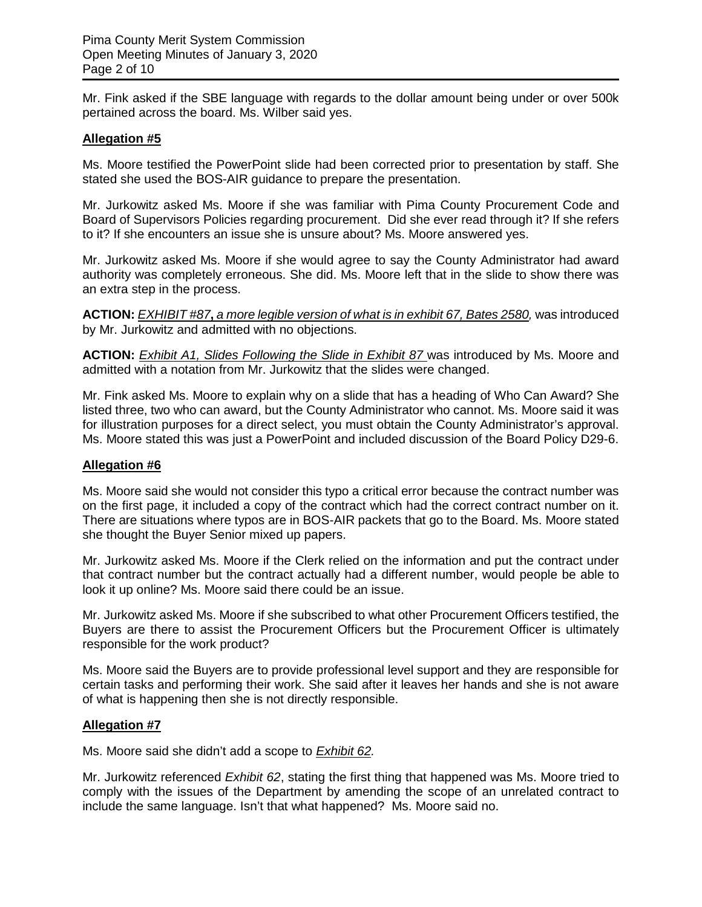Mr. Fink asked if the SBE language with regards to the dollar amount being under or over 500k pertained across the board. Ms. Wilber said yes.

## **Allegation #5**

Ms. Moore testified the PowerPoint slide had been corrected prior to presentation by staff. She stated she used the BOS-AIR guidance to prepare the presentation.

Mr. Jurkowitz asked Ms. Moore if she was familiar with Pima County Procurement Code and Board of Supervisors Policies regarding procurement. Did she ever read through it? If she refers to it? If she encounters an issue she is unsure about? Ms. Moore answered yes.

Mr. Jurkowitz asked Ms. Moore if she would agree to say the County Administrator had award authority was completely erroneous. She did. Ms. Moore left that in the slide to show there was an extra step in the process.

**ACTION:** *EXHIBIT #87, a more legible version of what is in exhibit 67, Bates 2580, was introduced* by Mr. Jurkowitz and admitted with no objections.

**ACTION:** *Exhibit A1, Slides Following the Slide in Exhibit 87* was introduced by Ms. Moore and admitted with a notation from Mr. Jurkowitz that the slides were changed.

Mr. Fink asked Ms. Moore to explain why on a slide that has a heading of Who Can Award? She listed three, two who can award, but the County Administrator who cannot. Ms. Moore said it was for illustration purposes for a direct select, you must obtain the County Administrator's approval. Ms. Moore stated this was just a PowerPoint and included discussion of the Board Policy D29-6.

### **Allegation #6**

Ms. Moore said she would not consider this typo a critical error because the contract number was on the first page, it included a copy of the contract which had the correct contract number on it. There are situations where typos are in BOS-AIR packets that go to the Board. Ms. Moore stated she thought the Buyer Senior mixed up papers.

Mr. Jurkowitz asked Ms. Moore if the Clerk relied on the information and put the contract under that contract number but the contract actually had a different number, would people be able to look it up online? Ms. Moore said there could be an issue.

Mr. Jurkowitz asked Ms. Moore if she subscribed to what other Procurement Officers testified, the Buyers are there to assist the Procurement Officers but the Procurement Officer is ultimately responsible for the work product?

Ms. Moore said the Buyers are to provide professional level support and they are responsible for certain tasks and performing their work. She said after it leaves her hands and she is not aware of what is happening then she is not directly responsible.

### **Allegation #7**

Ms. Moore said she didn't add a scope to *Exhibit 62.*

Mr. Jurkowitz referenced *Exhibit 62*, stating the first thing that happened was Ms. Moore tried to comply with the issues of the Department by amending the scope of an unrelated contract to include the same language. Isn't that what happened? Ms. Moore said no.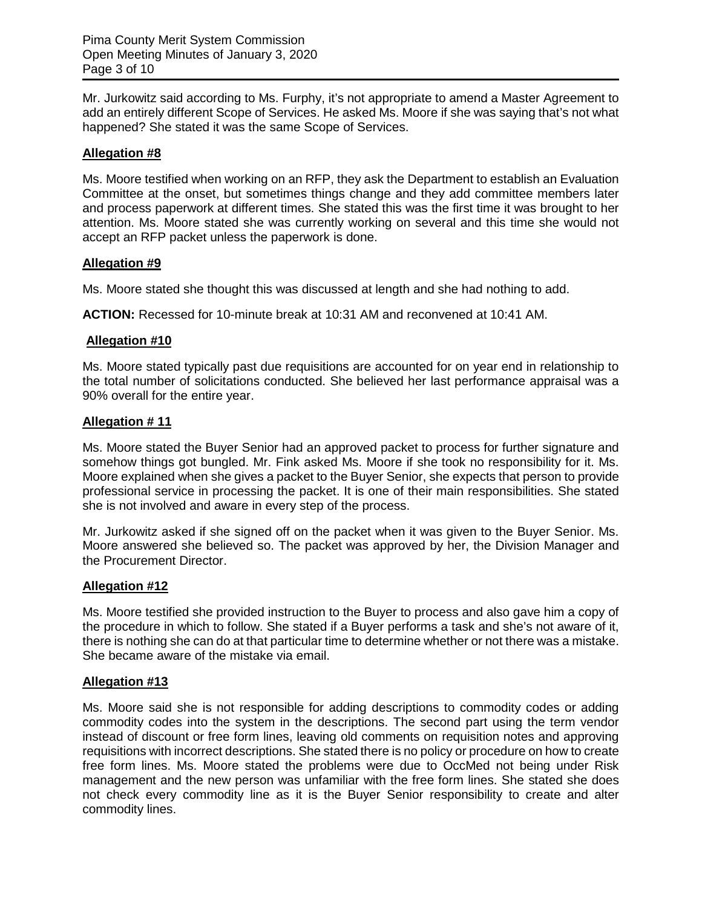Mr. Jurkowitz said according to Ms. Furphy, it's not appropriate to amend a Master Agreement to add an entirely different Scope of Services. He asked Ms. Moore if she was saying that's not what happened? She stated it was the same Scope of Services.

## **Allegation #8**

Ms. Moore testified when working on an RFP, they ask the Department to establish an Evaluation Committee at the onset, but sometimes things change and they add committee members later and process paperwork at different times. She stated this was the first time it was brought to her attention. Ms. Moore stated she was currently working on several and this time she would not accept an RFP packet unless the paperwork is done.

## **Allegation #9**

Ms. Moore stated she thought this was discussed at length and she had nothing to add.

**ACTION:** Recessed for 10-minute break at 10:31 AM and reconvened at 10:41 AM.

## **Allegation #10**

Ms. Moore stated typically past due requisitions are accounted for on year end in relationship to the total number of solicitations conducted. She believed her last performance appraisal was a 90% overall for the entire year.

# **Allegation # 11**

Ms. Moore stated the Buyer Senior had an approved packet to process for further signature and somehow things got bungled. Mr. Fink asked Ms. Moore if she took no responsibility for it. Ms. Moore explained when she gives a packet to the Buyer Senior, she expects that person to provide professional service in processing the packet. It is one of their main responsibilities. She stated she is not involved and aware in every step of the process.

Mr. Jurkowitz asked if she signed off on the packet when it was given to the Buyer Senior. Ms. Moore answered she believed so. The packet was approved by her, the Division Manager and the Procurement Director.

### **Allegation #12**

Ms. Moore testified she provided instruction to the Buyer to process and also gave him a copy of the procedure in which to follow. She stated if a Buyer performs a task and she's not aware of it, there is nothing she can do at that particular time to determine whether or not there was a mistake. She became aware of the mistake via email.

### **Allegation #13**

Ms. Moore said she is not responsible for adding descriptions to commodity codes or adding commodity codes into the system in the descriptions. The second part using the term vendor instead of discount or free form lines, leaving old comments on requisition notes and approving requisitions with incorrect descriptions. She stated there is no policy or procedure on how to create free form lines. Ms. Moore stated the problems were due to OccMed not being under Risk management and the new person was unfamiliar with the free form lines. She stated she does not check every commodity line as it is the Buyer Senior responsibility to create and alter commodity lines.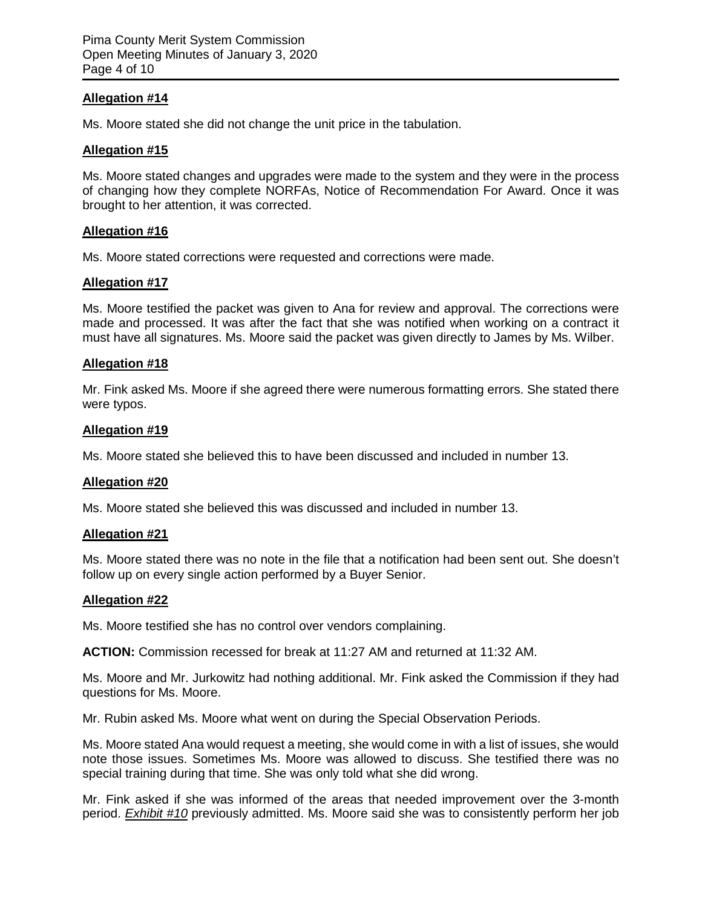## **Allegation #14**

Ms. Moore stated she did not change the unit price in the tabulation.

#### **Allegation #15**

Ms. Moore stated changes and upgrades were made to the system and they were in the process of changing how they complete NORFAs, Notice of Recommendation For Award. Once it was brought to her attention, it was corrected.

### **Allegation #16**

Ms. Moore stated corrections were requested and corrections were made.

### **Allegation #17**

Ms. Moore testified the packet was given to Ana for review and approval. The corrections were made and processed. It was after the fact that she was notified when working on a contract it must have all signatures. Ms. Moore said the packet was given directly to James by Ms. Wilber.

### **Allegation #18**

Mr. Fink asked Ms. Moore if she agreed there were numerous formatting errors. She stated there were typos.

#### **Allegation #19**

Ms. Moore stated she believed this to have been discussed and included in number 13.

### **Allegation #20**

Ms. Moore stated she believed this was discussed and included in number 13.

### **Allegation #21**

Ms. Moore stated there was no note in the file that a notification had been sent out. She doesn't follow up on every single action performed by a Buyer Senior.

### **Allegation #22**

Ms. Moore testified she has no control over vendors complaining.

**ACTION:** Commission recessed for break at 11:27 AM and returned at 11:32 AM.

Ms. Moore and Mr. Jurkowitz had nothing additional. Mr. Fink asked the Commission if they had questions for Ms. Moore.

Mr. Rubin asked Ms. Moore what went on during the Special Observation Periods.

Ms. Moore stated Ana would request a meeting, she would come in with a list of issues, she would note those issues. Sometimes Ms. Moore was allowed to discuss. She testified there was no special training during that time. She was only told what she did wrong.

Mr. Fink asked if she was informed of the areas that needed improvement over the 3-month period. *Exhibit #10* previously admitted. Ms. Moore said she was to consistently perform her job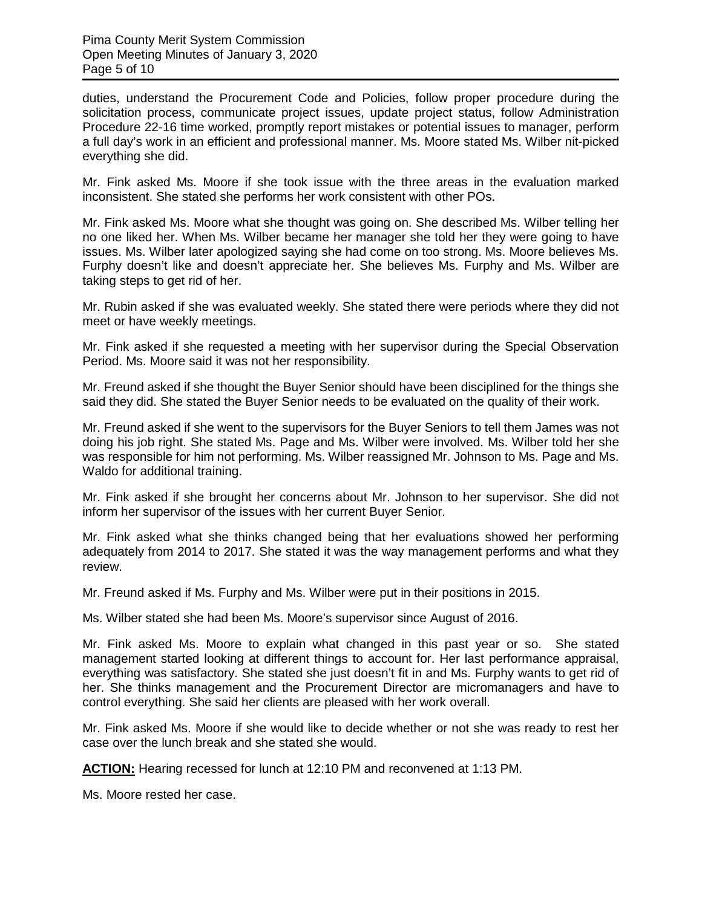duties, understand the Procurement Code and Policies, follow proper procedure during the solicitation process, communicate project issues, update project status, follow Administration Procedure 22-16 time worked, promptly report mistakes or potential issues to manager, perform a full day's work in an efficient and professional manner. Ms. Moore stated Ms. Wilber nit-picked everything she did.

Mr. Fink asked Ms. Moore if she took issue with the three areas in the evaluation marked inconsistent. She stated she performs her work consistent with other POs.

Mr. Fink asked Ms. Moore what she thought was going on. She described Ms. Wilber telling her no one liked her. When Ms. Wilber became her manager she told her they were going to have issues. Ms. Wilber later apologized saying she had come on too strong. Ms. Moore believes Ms. Furphy doesn't like and doesn't appreciate her. She believes Ms. Furphy and Ms. Wilber are taking steps to get rid of her.

Mr. Rubin asked if she was evaluated weekly. She stated there were periods where they did not meet or have weekly meetings.

Mr. Fink asked if she requested a meeting with her supervisor during the Special Observation Period. Ms. Moore said it was not her responsibility.

Mr. Freund asked if she thought the Buyer Senior should have been disciplined for the things she said they did. She stated the Buyer Senior needs to be evaluated on the quality of their work.

Mr. Freund asked if she went to the supervisors for the Buyer Seniors to tell them James was not doing his job right. She stated Ms. Page and Ms. Wilber were involved. Ms. Wilber told her she was responsible for him not performing. Ms. Wilber reassigned Mr. Johnson to Ms. Page and Ms. Waldo for additional training.

Mr. Fink asked if she brought her concerns about Mr. Johnson to her supervisor. She did not inform her supervisor of the issues with her current Buyer Senior.

Mr. Fink asked what she thinks changed being that her evaluations showed her performing adequately from 2014 to 2017. She stated it was the way management performs and what they review.

Mr. Freund asked if Ms. Furphy and Ms. Wilber were put in their positions in 2015.

Ms. Wilber stated she had been Ms. Moore's supervisor since August of 2016.

Mr. Fink asked Ms. Moore to explain what changed in this past year or so. She stated management started looking at different things to account for. Her last performance appraisal, everything was satisfactory. She stated she just doesn't fit in and Ms. Furphy wants to get rid of her. She thinks management and the Procurement Director are micromanagers and have to control everything. She said her clients are pleased with her work overall.

Mr. Fink asked Ms. Moore if she would like to decide whether or not she was ready to rest her case over the lunch break and she stated she would.

**ACTION:** Hearing recessed for lunch at 12:10 PM and reconvened at 1:13 PM.

Ms. Moore rested her case.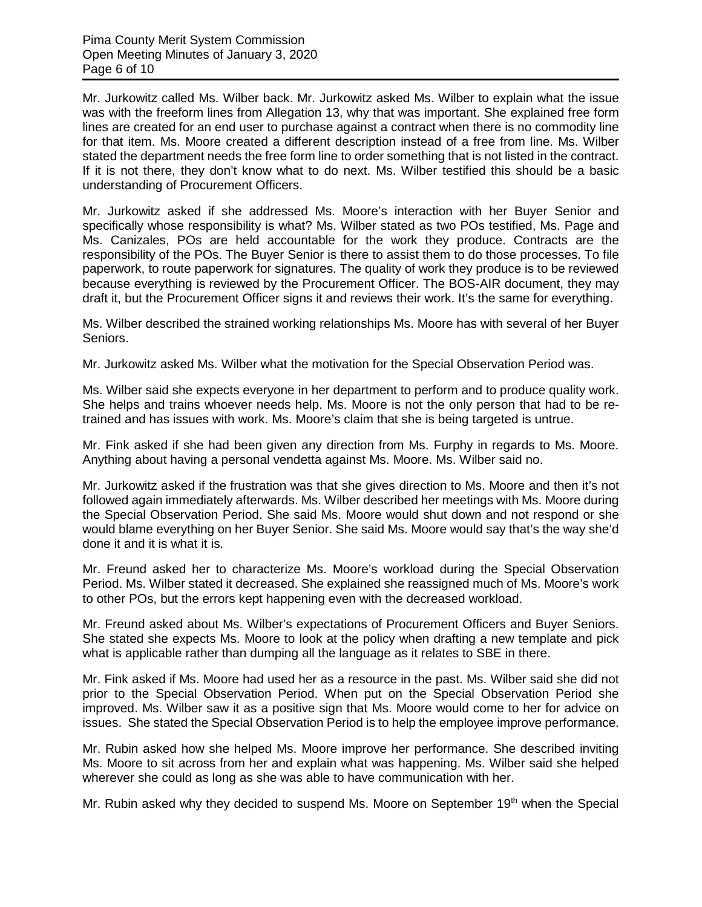Mr. Jurkowitz called Ms. Wilber back. Mr. Jurkowitz asked Ms. Wilber to explain what the issue was with the freeform lines from Allegation 13, why that was important. She explained free form lines are created for an end user to purchase against a contract when there is no commodity line for that item. Ms. Moore created a different description instead of a free from line. Ms. Wilber stated the department needs the free form line to order something that is not listed in the contract. If it is not there, they don't know what to do next. Ms. Wilber testified this should be a basic understanding of Procurement Officers.

Mr. Jurkowitz asked if she addressed Ms. Moore's interaction with her Buyer Senior and specifically whose responsibility is what? Ms. Wilber stated as two POs testified, Ms. Page and Ms. Canizales, POs are held accountable for the work they produce. Contracts are the responsibility of the POs. The Buyer Senior is there to assist them to do those processes. To file paperwork, to route paperwork for signatures. The quality of work they produce is to be reviewed because everything is reviewed by the Procurement Officer. The BOS-AIR document, they may draft it, but the Procurement Officer signs it and reviews their work. It's the same for everything.

Ms. Wilber described the strained working relationships Ms. Moore has with several of her Buyer Seniors.

Mr. Jurkowitz asked Ms. Wilber what the motivation for the Special Observation Period was.

Ms. Wilber said she expects everyone in her department to perform and to produce quality work. She helps and trains whoever needs help. Ms. Moore is not the only person that had to be retrained and has issues with work. Ms. Moore's claim that she is being targeted is untrue.

Mr. Fink asked if she had been given any direction from Ms. Furphy in regards to Ms. Moore. Anything about having a personal vendetta against Ms. Moore. Ms. Wilber said no.

Mr. Jurkowitz asked if the frustration was that she gives direction to Ms. Moore and then it's not followed again immediately afterwards. Ms. Wilber described her meetings with Ms. Moore during the Special Observation Period. She said Ms. Moore would shut down and not respond or she would blame everything on her Buyer Senior. She said Ms. Moore would say that's the way she'd done it and it is what it is.

Mr. Freund asked her to characterize Ms. Moore's workload during the Special Observation Period. Ms. Wilber stated it decreased. She explained she reassigned much of Ms. Moore's work to other POs, but the errors kept happening even with the decreased workload.

Mr. Freund asked about Ms. Wilber's expectations of Procurement Officers and Buyer Seniors. She stated she expects Ms. Moore to look at the policy when drafting a new template and pick what is applicable rather than dumping all the language as it relates to SBE in there.

Mr. Fink asked if Ms. Moore had used her as a resource in the past. Ms. Wilber said she did not prior to the Special Observation Period. When put on the Special Observation Period she improved. Ms. Wilber saw it as a positive sign that Ms. Moore would come to her for advice on issues. She stated the Special Observation Period is to help the employee improve performance.

Mr. Rubin asked how she helped Ms. Moore improve her performance. She described inviting Ms. Moore to sit across from her and explain what was happening. Ms. Wilber said she helped wherever she could as long as she was able to have communication with her.

Mr. Rubin asked why they decided to suspend Ms. Moore on September  $19<sup>th</sup>$  when the Special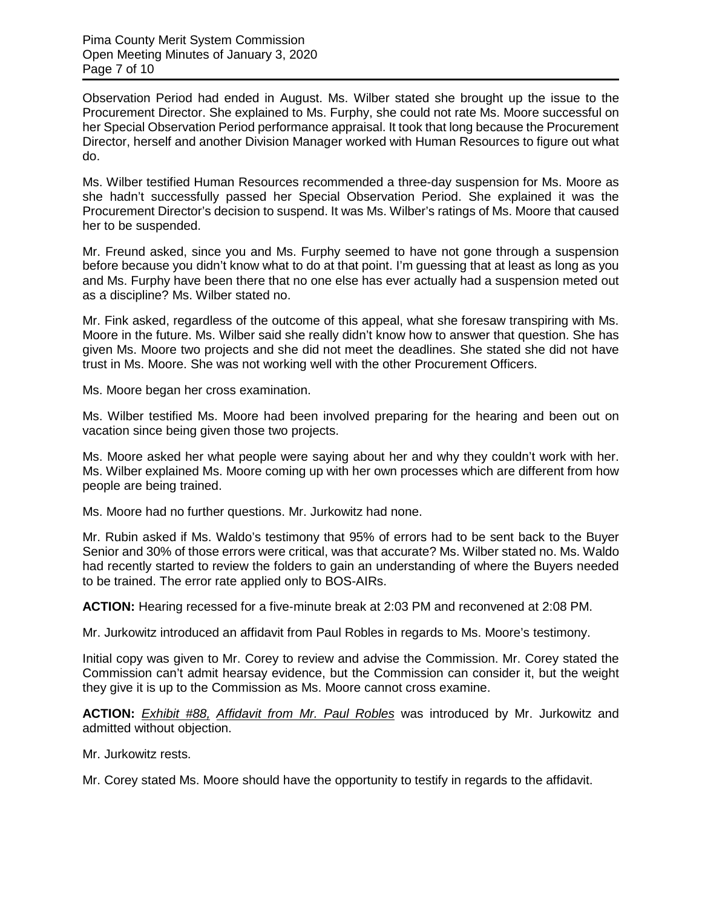Observation Period had ended in August. Ms. Wilber stated she brought up the issue to the Procurement Director. She explained to Ms. Furphy, she could not rate Ms. Moore successful on her Special Observation Period performance appraisal. It took that long because the Procurement Director, herself and another Division Manager worked with Human Resources to figure out what do.

Ms. Wilber testified Human Resources recommended a three-day suspension for Ms. Moore as she hadn't successfully passed her Special Observation Period. She explained it was the Procurement Director's decision to suspend. It was Ms. Wilber's ratings of Ms. Moore that caused her to be suspended.

Mr. Freund asked, since you and Ms. Furphy seemed to have not gone through a suspension before because you didn't know what to do at that point. I'm guessing that at least as long as you and Ms. Furphy have been there that no one else has ever actually had a suspension meted out as a discipline? Ms. Wilber stated no.

Mr. Fink asked, regardless of the outcome of this appeal, what she foresaw transpiring with Ms. Moore in the future. Ms. Wilber said she really didn't know how to answer that question. She has given Ms. Moore two projects and she did not meet the deadlines. She stated she did not have trust in Ms. Moore. She was not working well with the other Procurement Officers.

Ms. Moore began her cross examination.

Ms. Wilber testified Ms. Moore had been involved preparing for the hearing and been out on vacation since being given those two projects.

Ms. Moore asked her what people were saying about her and why they couldn't work with her. Ms. Wilber explained Ms. Moore coming up with her own processes which are different from how people are being trained.

Ms. Moore had no further questions. Mr. Jurkowitz had none.

Mr. Rubin asked if Ms. Waldo's testimony that 95% of errors had to be sent back to the Buyer Senior and 30% of those errors were critical, was that accurate? Ms. Wilber stated no. Ms. Waldo had recently started to review the folders to gain an understanding of where the Buyers needed to be trained. The error rate applied only to BOS-AIRs.

**ACTION:** Hearing recessed for a five-minute break at 2:03 PM and reconvened at 2:08 PM.

Mr. Jurkowitz introduced an affidavit from Paul Robles in regards to Ms. Moore's testimony.

Initial copy was given to Mr. Corey to review and advise the Commission. Mr. Corey stated the Commission can't admit hearsay evidence, but the Commission can consider it, but the weight they give it is up to the Commission as Ms. Moore cannot cross examine.

**ACTION:** *Exhibit #88, Affidavit from Mr. Paul Robles* was introduced by Mr. Jurkowitz and admitted without objection.

Mr. Jurkowitz rests.

Mr. Corey stated Ms. Moore should have the opportunity to testify in regards to the affidavit.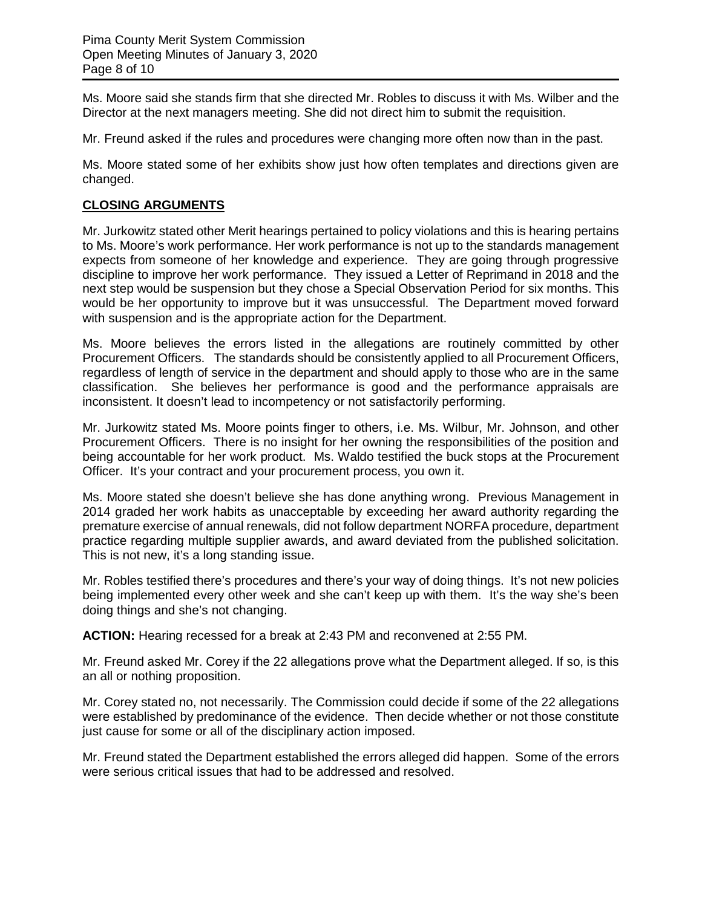Ms. Moore said she stands firm that she directed Mr. Robles to discuss it with Ms. Wilber and the Director at the next managers meeting. She did not direct him to submit the requisition.

Mr. Freund asked if the rules and procedures were changing more often now than in the past.

Ms. Moore stated some of her exhibits show just how often templates and directions given are changed.

# **CLOSING ARGUMENTS**

Mr. Jurkowitz stated other Merit hearings pertained to policy violations and this is hearing pertains to Ms. Moore's work performance. Her work performance is not up to the standards management expects from someone of her knowledge and experience. They are going through progressive discipline to improve her work performance. They issued a Letter of Reprimand in 2018 and the next step would be suspension but they chose a Special Observation Period for six months. This would be her opportunity to improve but it was unsuccessful. The Department moved forward with suspension and is the appropriate action for the Department.

Ms. Moore believes the errors listed in the allegations are routinely committed by other Procurement Officers. The standards should be consistently applied to all Procurement Officers, regardless of length of service in the department and should apply to those who are in the same classification. She believes her performance is good and the performance appraisals are inconsistent. It doesn't lead to incompetency or not satisfactorily performing.

Mr. Jurkowitz stated Ms. Moore points finger to others, i.e. Ms. Wilbur, Mr. Johnson, and other Procurement Officers. There is no insight for her owning the responsibilities of the position and being accountable for her work product. Ms. Waldo testified the buck stops at the Procurement Officer. It's your contract and your procurement process, you own it.

Ms. Moore stated she doesn't believe she has done anything wrong. Previous Management in 2014 graded her work habits as unacceptable by exceeding her award authority regarding the premature exercise of annual renewals, did not follow department NORFA procedure, department practice regarding multiple supplier awards, and award deviated from the published solicitation. This is not new, it's a long standing issue.

Mr. Robles testified there's procedures and there's your way of doing things. It's not new policies being implemented every other week and she can't keep up with them. It's the way she's been doing things and she's not changing.

**ACTION:** Hearing recessed for a break at 2:43 PM and reconvened at 2:55 PM.

Mr. Freund asked Mr. Corey if the 22 allegations prove what the Department alleged. If so, is this an all or nothing proposition.

Mr. Corey stated no, not necessarily. The Commission could decide if some of the 22 allegations were established by predominance of the evidence. Then decide whether or not those constitute just cause for some or all of the disciplinary action imposed.

Mr. Freund stated the Department established the errors alleged did happen. Some of the errors were serious critical issues that had to be addressed and resolved.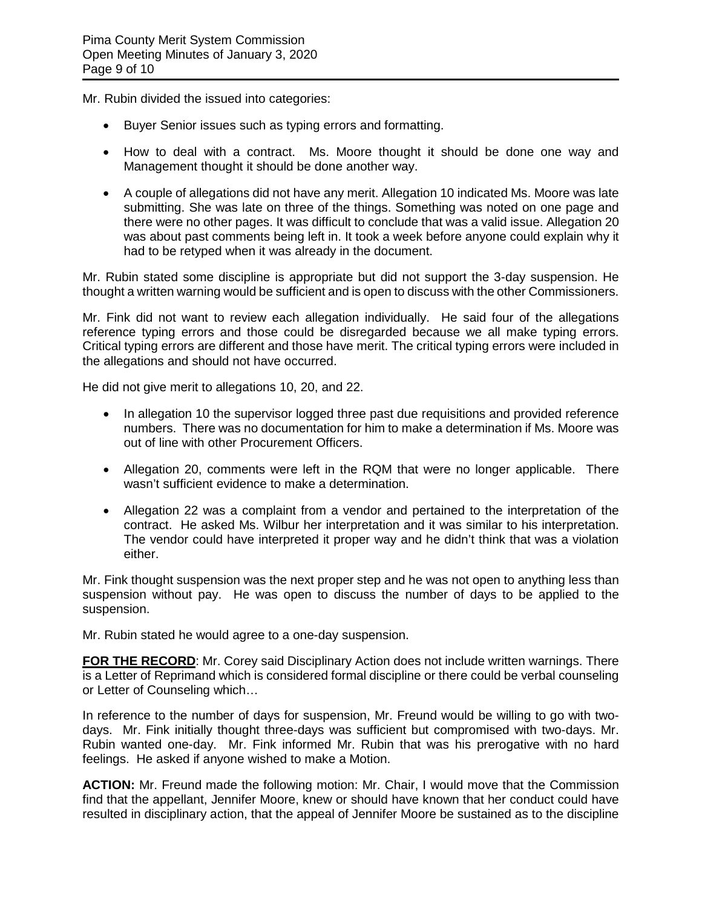Mr. Rubin divided the issued into categories:

- Buyer Senior issues such as typing errors and formatting.
- How to deal with a contract. Ms. Moore thought it should be done one way and Management thought it should be done another way.
- A couple of allegations did not have any merit. Allegation 10 indicated Ms. Moore was late submitting. She was late on three of the things. Something was noted on one page and there were no other pages. It was difficult to conclude that was a valid issue. Allegation 20 was about past comments being left in. It took a week before anyone could explain why it had to be retyped when it was already in the document.

Mr. Rubin stated some discipline is appropriate but did not support the 3-day suspension. He thought a written warning would be sufficient and is open to discuss with the other Commissioners.

Mr. Fink did not want to review each allegation individually. He said four of the allegations reference typing errors and those could be disregarded because we all make typing errors. Critical typing errors are different and those have merit. The critical typing errors were included in the allegations and should not have occurred.

He did not give merit to allegations 10, 20, and 22.

- In allegation 10 the supervisor logged three past due requisitions and provided reference numbers. There was no documentation for him to make a determination if Ms. Moore was out of line with other Procurement Officers.
- Allegation 20, comments were left in the RQM that were no longer applicable. There wasn't sufficient evidence to make a determination.
- Allegation 22 was a complaint from a vendor and pertained to the interpretation of the contract. He asked Ms. Wilbur her interpretation and it was similar to his interpretation. The vendor could have interpreted it proper way and he didn't think that was a violation either.

Mr. Fink thought suspension was the next proper step and he was not open to anything less than suspension without pay. He was open to discuss the number of days to be applied to the suspension.

Mr. Rubin stated he would agree to a one-day suspension.

FOR THE RECORD: Mr. Corey said Disciplinary Action does not include written warnings. There is a Letter of Reprimand which is considered formal discipline or there could be verbal counseling or Letter of Counseling which…

In reference to the number of days for suspension, Mr. Freund would be willing to go with twodays. Mr. Fink initially thought three-days was sufficient but compromised with two-days. Mr. Rubin wanted one-day. Mr. Fink informed Mr. Rubin that was his prerogative with no hard feelings. He asked if anyone wished to make a Motion.

**ACTION:** Mr. Freund made the following motion: Mr. Chair, I would move that the Commission find that the appellant, Jennifer Moore, knew or should have known that her conduct could have resulted in disciplinary action, that the appeal of Jennifer Moore be sustained as to the discipline